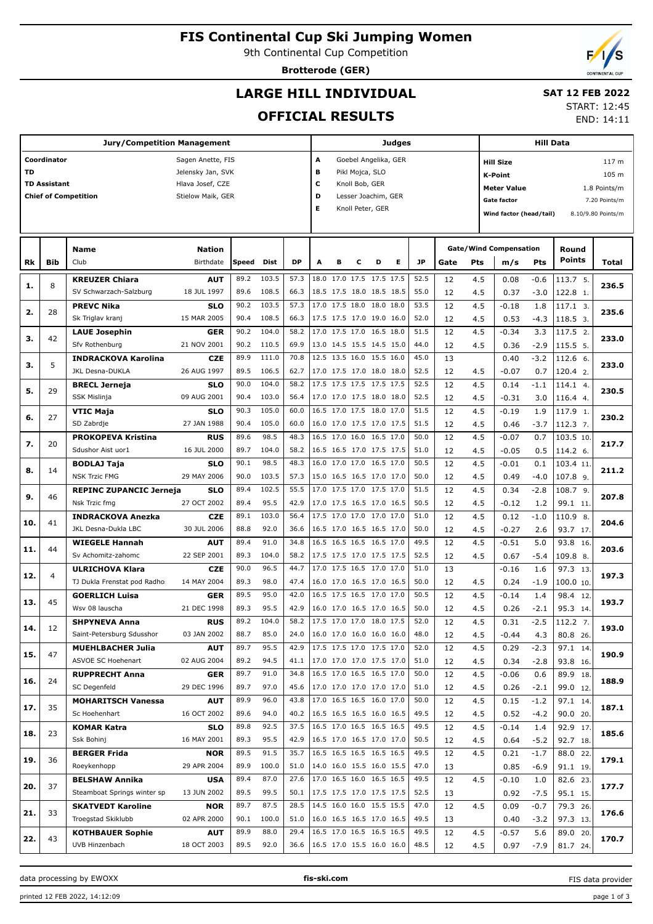# **FIS Continental Cup Ski Jumping Women**

9th Continental Cup Competition

**Brotterode (GER)**

## **LARGE HILL INDIVIDUAL**

## **SAT 12 FEB 2022**

## **OFFICIAL RESULTS**

START: 12:45 END: 14:11

|           |                     | <b>Jury/Competition Management</b> | Judges            |       |       |           |                           |                                                                 |   |                  | Hill Data |      |      |     |                               |        |               |                    |  |
|-----------|---------------------|------------------------------------|-------------------|-------|-------|-----------|---------------------------|-----------------------------------------------------------------|---|------------------|-----------|------|------|-----|-------------------------------|--------|---------------|--------------------|--|
|           | Coordinator         |                                    | Sagen Anette, FIS |       |       |           | A<br>Goebel Angelika, GER |                                                                 |   |                  |           |      |      |     | 117 m<br><b>Hill Size</b>     |        |               |                    |  |
| <b>TD</b> |                     |                                    | Jelensky Jan, SVK |       |       |           | B<br>Pikl Mojca, SLO      |                                                                 |   |                  |           |      |      |     | 105 m<br><b>K-Point</b>       |        |               |                    |  |
|           | <b>TD Assistant</b> |                                    | Hlava Josef, CZE  |       |       |           | c<br>Knoll Bob, GER       |                                                                 |   |                  |           |      |      |     | 1.8 Points/m                  |        |               |                    |  |
|           |                     | <b>Chief of Competition</b>        | Stielow Maik, GER |       |       |           | D                         | <b>Meter Value</b><br>Lesser Joachim, GER<br><b>Gate factor</b> |   |                  |           |      |      |     |                               |        |               |                    |  |
|           |                     |                                    |                   |       |       |           | Е                         |                                                                 |   | Knoll Peter, GER |           |      |      |     |                               |        |               | 7.20 Points/m      |  |
|           |                     |                                    |                   |       |       |           |                           |                                                                 |   |                  |           |      |      |     | Wind factor (head/tail)       |        |               | 8.10/9.80 Points/m |  |
|           |                     |                                    |                   |       |       |           |                           |                                                                 |   |                  |           |      |      |     |                               |        |               |                    |  |
|           |                     | Name                               | <b>Nation</b>     |       |       |           |                           |                                                                 |   |                  |           |      |      |     | <b>Gate/Wind Compensation</b> |        | Round         |                    |  |
| Rk        | Bib                 | Club                               | Birthdate         | Speed | Dist  | <b>DP</b> | A                         | в                                                               | с | D                | Е         | JP   | Gate | Pts | m/s                           | Pts    | <b>Points</b> | Total              |  |
|           |                     | <b>KREUZER Chiara</b>              | <b>AUT</b>        | 89.2  | 103.5 | 57.3      | 18.0 17.0 17.5 17.5 17.5  |                                                                 |   |                  |           | 52.5 | 12   | 4.5 | 0.08                          | $-0.6$ | 113.7 5.      |                    |  |
| 1.        | 8                   | SV Schwarzach-Salzburg             | 18 JUL 1997       | 89.6  | 108.5 | 66.3      | 18.5 17.5 18.0 18.5 18.5  |                                                                 |   |                  |           | 55.0 | 12   | 4.5 | 0.37                          | $-3.0$ | 122.8 1.      | 236.5              |  |
|           |                     | <b>PREVC Nika</b>                  | <b>SLO</b>        | 90.2  | 103.5 | 57.3      | 17.0 17.5 18.0 18.0 18.0  |                                                                 |   |                  |           | 53.5 | 12   | 4.5 | $-0.18$                       | 1.8    | 117.1 3.      |                    |  |
| 2.        | 28                  | Sk Triglav kranj                   | 15 MAR 2005       | 90.4  | 108.5 | 66.3      | 17.5 17.5 17.0 19.0 16.0  |                                                                 |   |                  |           | 52.0 | 12   | 4.5 | 0.53                          | $-4.3$ | 118.5 3.      | 235.6              |  |
|           |                     | <b>LAUE Josephin</b>               | <b>GER</b>        | 90.2  | 104.0 | 58.2      | 17.0 17.5 17.0 16.5 18.0  |                                                                 |   |                  |           | 51.5 | 12   | 4.5 | $-0.34$                       | 3.3    | 117.5 2.      |                    |  |
| з.        | 42                  | Sfv Rothenburg                     | 21 NOV 2001       | 90.2  | 110.5 | 69.9      | 13.0 14.5 15.5 14.5 15.0  |                                                                 |   |                  |           | 44.0 | 12   | 4.5 | 0.36                          | $-2.9$ | 115.5 5.      | 233.0              |  |
|           |                     | <b>INDRACKOVA Karolina</b>         | <b>CZE</b>        | 89.9  | 111.0 | 70.8      | 12.5 13.5 16.0 15.5 16.0  |                                                                 |   |                  |           | 45.0 | 13   |     | 0.40                          | $-3.2$ | 112.6 6.      |                    |  |
| з.        | 5                   | JKL Desna-DUKLA                    | 26 AUG 1997       | 89.5  | 106.5 | 62.7      | 17.0 17.5 17.0 18.0 18.0  |                                                                 |   |                  |           | 52.5 | 12   | 4.5 | $-0.07$                       | 0.7    | 120.4 2.      | 233.0              |  |
|           |                     | <b>BRECL Jerneja</b>               | <b>SLO</b>        | 90.0  | 104.0 | 58.2      | 17.5 17.5 17.5 17.5 17.5  |                                                                 |   |                  |           | 52.5 | 12   | 4.5 | 0.14                          | -1.1   | 114.1 4.      |                    |  |
| 5.        | 29                  | SSK Mislinja                       | 09 AUG 2001       | 90.4  | 103.0 | 56.4      | 17.0 17.0 17.5 18.0 18.0  |                                                                 |   |                  |           | 52.5 | 12   | 4.5 | $-0.31$                       | 3.0    | 116.4 4.      | 230.5              |  |
|           |                     | VTIC Maja                          | <b>SLO</b>        | 90.3  | 105.0 | 60.0      | 16.5 17.0 17.5 18.0 17.0  |                                                                 |   |                  |           | 51.5 | 12   | 4.5 | $-0.19$                       | 1.9    | 117.9 1.      |                    |  |
| 6.        | 27                  | SD Zabrdie                         | 27 JAN 1988       | 90.4  | 105.0 | 60.0      | 16.0 17.0 17.5 17.0 17.5  |                                                                 |   |                  |           | 51.5 | 12   | 4.5 | 0.46                          | $-3.7$ | 112.3 7.      | 230.2              |  |
|           |                     | <b>PROKOPEVA Kristina</b>          | <b>RUS</b>        | 89.6  | 98.5  | 48.3      | 16.5 17.0 16.0 16.5 17.0  |                                                                 |   |                  |           | 50.0 | 12   | 4.5 | $-0.07$                       | 0.7    | 103.5 10      |                    |  |
| 7.        | 20                  | Sdushor Aist uor1                  | 16 JUL 2000       | 89.7  | 104.0 | 58.2      | 16.5 16.5 17.0 17.5 17.5  |                                                                 |   |                  |           | 51.0 | 12   | 4.5 | $-0.05$                       | 0.5    | 114.2 6.      | 217.7              |  |
|           |                     | <b>BODLAJ Taja</b>                 | <b>SLO</b>        | 90.1  | 98.5  | 48.3      | 16.0 17.0 17.0 16.5 17.0  |                                                                 |   |                  |           | 50.5 | 12   | 4.5 | $-0.01$                       | 0.1    | 103.4 11      |                    |  |
| 8.        | 14                  | <b>NSK Trzic FMG</b>               | 29 MAY 2006       | 90.0  | 103.5 | 57.3      | 15.0 16.5 16.5 17.0 17.0  |                                                                 |   |                  |           | 50.0 | 12   | 4.5 | 0.49                          | $-4.0$ | 107.8 9.      | 211.2              |  |
|           |                     | <b>REPINC ZUPANCIC Jerneja</b>     | <b>SLO</b>        | 89.4  | 102.5 | 55.5      | 17.0 17.5 17.0 17.5 17.0  |                                                                 |   |                  |           | 51.5 | 12   | 4.5 | 0.34                          | $-2.8$ | 108.7 9.      |                    |  |
| 9.        | 46                  | Nsk Trzic fmg                      | 27 OCT 2002       | 89.4  | 95.5  | 42.9      | 17.0 17.5 16.5 17.0 16.5  |                                                                 |   |                  |           | 50.5 | 12   | 4.5 | $-0.12$                       | 1.2    | 99.1 11.      | 207.8              |  |
|           |                     | <b>INDRACKOVA Anezka</b>           | <b>CZE</b>        | 89.1  | 103.0 | 56.4      | 17.5 17.0 17.0 17.0 17.0  |                                                                 |   |                  |           | 51.0 | 12   | 4.5 | 0.12                          | $-1.0$ | 110.9 8.      |                    |  |
| 10.       | 41                  | JKL Desna-Dukla LBC                | 30 JUL 2006       | 88.8  | 92.0  | 36.6      | 16.5 17.0 16.5 16.5 17.0  |                                                                 |   |                  |           | 50.0 | 12   | 4.5 | $-0.27$                       | 2.6    | 93.7 17.      | 204.6              |  |
|           |                     | <b>WIEGELE Hannah</b>              | <b>AUT</b>        | 89.4  | 91.0  | 34.8      | 16.5 16.5 16.5 16.5 17.0  |                                                                 |   |                  |           | 49.5 | 12   | 4.5 | $-0.51$                       | 5.0    | 93.8 16       |                    |  |
| 11.       | 44                  | Sv Achomitz-zahomc                 | 22 SEP 2001       | 89.3  | 104.0 | 58.2      | 17.5 17.5 17.0 17.5 17.5  |                                                                 |   |                  |           | 52.5 | 12   | 4.5 | 0.67                          | $-5.4$ | 109.8 8.      | 203.6              |  |
|           |                     | <b>ULRICHOVA Klara</b>             | CZE               | 90.0  | 96.5  | 44.7      | 17.0 17.5 16.5 17.0 17.0  |                                                                 |   |                  |           | 51.0 | 13   |     | $-0.16$                       | 1.6    | 97.3 13       |                    |  |
| 12.       | 4                   | TJ Dukla Frenstat pod Radho:       | 14 MAY 2004       | 89.3  | 98.0  | 47.4      | 16.0 17.0 16.5 17.0 16.5  |                                                                 |   |                  |           | 50.0 | 12   | 4.5 | 0.24                          | $-1.9$ | 100.0 10.     | 197.3              |  |
|           |                     | <b>GOERLICH Luisa</b>              | GER               | 89.5  | 95.0  | 42.0      | 16.5 17.5 16.5 17.0 17.0  |                                                                 |   |                  |           | 50.5 | 12   | 4.5 | $-0.14$                       | 1.4    | 98.4 12       |                    |  |
| 13.       | 45                  | Wsv 08 lauscha                     | 21 DEC 1998       | 89.3  | 95.5  | 42.9      | 16.0 17.0 16.5 17.0 16.5  |                                                                 |   |                  |           | 50.0 | 12   | 4.5 | 0.26                          | $-2.1$ | 95.3 14.      | 193.7              |  |
|           |                     | <b>SHPYNEVA Anna</b>               | <b>RUS</b>        | 89.2  | 104.0 | 58.2      | 17.5 17.0 17.0 18.0 17.5  |                                                                 |   |                  |           | 52.0 | 12   | 4.5 | 0.31                          | $-2.5$ | 112.2 7.      |                    |  |
| 14.       | 12                  | Saint-Petersburg Sdusshor          | 03 JAN 2002       | 88.7  | 85.0  | 24.0      | 16.0 17.0 16.0 16.0 16.0  |                                                                 |   |                  |           | 48.0 | 12   | 4.5 | $-0.44$                       | 4.3    | 80.8 26.      | 193.0              |  |
|           |                     | <b>MUEHLBACHER Julia</b>           | <b>AUT</b>        | 89.7  | 95.5  | 42.9      | 17.5 17.5 17.0 17.5 17.0  |                                                                 |   |                  |           | 52.0 | 12   | 4.5 | 0.29                          | $-2.3$ | 97.1 14.      |                    |  |
| 15.       | 47                  | ASVOE SC Hoehenart                 | 02 AUG 2004       | 89.2  | 94.5  | 41.1      | 17.0 17.0 17.0 17.5 17.0  |                                                                 |   |                  |           | 51.0 | 12   | 4.5 | 0.34                          | $-2.8$ | 93.8 16.      | 190.9              |  |
|           |                     | <b>RUPPRECHT Anna</b>              | <b>GER</b>        | 89.7  | 91.0  | 34.8      | 16.5 17.0 16.5 16.5 17.0  |                                                                 |   |                  |           | 50.0 | 12   | 4.5 | $-0.06$                       | 0.6    | 89.9 18.      |                    |  |
| 16.       | 24                  | SC Degenfeld                       | 29 DEC 1996       | 89.7  | 97.0  | 45.6      | 17.0 17.0 17.0 17.0 17.0  |                                                                 |   |                  |           | 51.0 | 12   | 4.5 | 0.26                          | $-2.1$ | 99.0 12.      | 188.9              |  |
|           |                     | <b>MOHARITSCH Vanessa</b>          | <b>AUT</b>        | 89.9  | 96.0  | 43.8      | 17.0 16.5 16.5 16.0 17.0  |                                                                 |   |                  |           | 50.0 | 12   | 4.5 | 0.15                          | $-1.2$ | 97.1 14.      |                    |  |
| 17.       | 35                  | Sc Hoehenhart                      | 16 OCT 2002       | 89.6  | 94.0  | 40.2      | 16.5 16.5 16.5 16.0 16.5  |                                                                 |   |                  |           | 49.5 | 12   | 4.5 | 0.52                          | $-4.2$ | 90.0 20.      | 187.1              |  |
|           |                     | <b>KOMAR Katra</b>                 | <b>SLO</b>        | 89.8  | 92.5  | 37.5      | 16.5 17.0 16.5 16.5 16.5  |                                                                 |   |                  |           | 49.5 | 12   | 4.5 | $-0.14$                       | 1.4    | 92.9 17.      |                    |  |
| 18.       | 23                  | Ssk Bohinj                         | 16 MAY 2001       | 89.3  | 95.5  | 42.9      | 16.5 17.0 16.5 17.0 17.0  |                                                                 |   |                  |           | 50.5 | 12   | 4.5 | 0.64                          | $-5.2$ | 92.7 18.      | 185.6              |  |
|           |                     | <b>BERGER Frida</b>                | <b>NOR</b>        | 89.5  | 91.5  | 35.7      | 16.5 16.5 16.5 16.5 16.5  |                                                                 |   |                  |           | 49.5 | 12   | 4.5 | 0.21                          | $-1.7$ | 88.0 22.      |                    |  |
| 19.       | 36                  | Roeykenhopp                        | 29 APR 2004       | 89.9  | 100.0 | 51.0      | 14.0 16.0 15.5 16.0 15.5  |                                                                 |   |                  |           | 47.0 | 13   |     | 0.85                          | $-6.9$ | 91.1 19.      | 179.1              |  |
|           |                     | <b>BELSHAW Annika</b>              | <b>USA</b>        | 89.4  | 87.0  | 27.6      | 17.0 16.5 16.0 16.5 16.5  |                                                                 |   |                  |           | 49.5 | 12   | 4.5 | $-0.10$                       | 1.0    | 82.6 23.      |                    |  |
| 20.       | 37                  | Steamboat Springs winter sp        | 13 JUN 2002       | 89.5  | 99.5  | 50.1      | 17.5 17.5 17.0 17.5 17.5  |                                                                 |   |                  |           | 52.5 | 13   |     | 0.92                          | $-7.5$ | 95.1 15.      | 177.7              |  |
|           | 33                  | <b>SKATVEDT Karoline</b>           | NOR               | 89.7  | 87.5  | 28.5      | 14.5 16.0 16.0 15.5 15.5  |                                                                 |   |                  |           | 47.0 | 12   | 4.5 | 0.09                          | $-0.7$ | 79.3 26.      |                    |  |
| 21.       |                     | Troegstad Skiklubb                 | 02 APR 2000       | 90.1  | 100.0 | 51.0      | 16.0 16.5 16.5 17.0 16.5  |                                                                 |   |                  |           | 49.5 | 13   |     | 0.40                          | $-3.2$ | 97.3 13.      | 176.6              |  |
| 22.       | 43                  | <b>KOTHBAUER Sophie</b>            | <b>AUT</b>        | 89.9  | 88.0  | 29.4      | 16.5 17.0 16.5 16.5 16.5  |                                                                 |   |                  |           | 49.5 | 12   | 4.5 | $-0.57$                       | 5.6    | 89.0 20.      | 170.7              |  |
|           |                     | UVB Hinzenbach                     | 18 OCT 2003       | 89.5  | 92.0  | 36.6      | 16.5 17.0 15.5 16.0 16.0  |                                                                 |   |                  |           | 48.5 | 12   | 4.5 | 0.97                          | $-7.9$ | 81.7 24.      |                    |  |
|           |                     |                                    |                   |       |       |           |                           |                                                                 |   |                  |           |      |      |     |                               |        |               |                    |  |

data processing by EWOXX **fis-ski.com**

FIS data provider

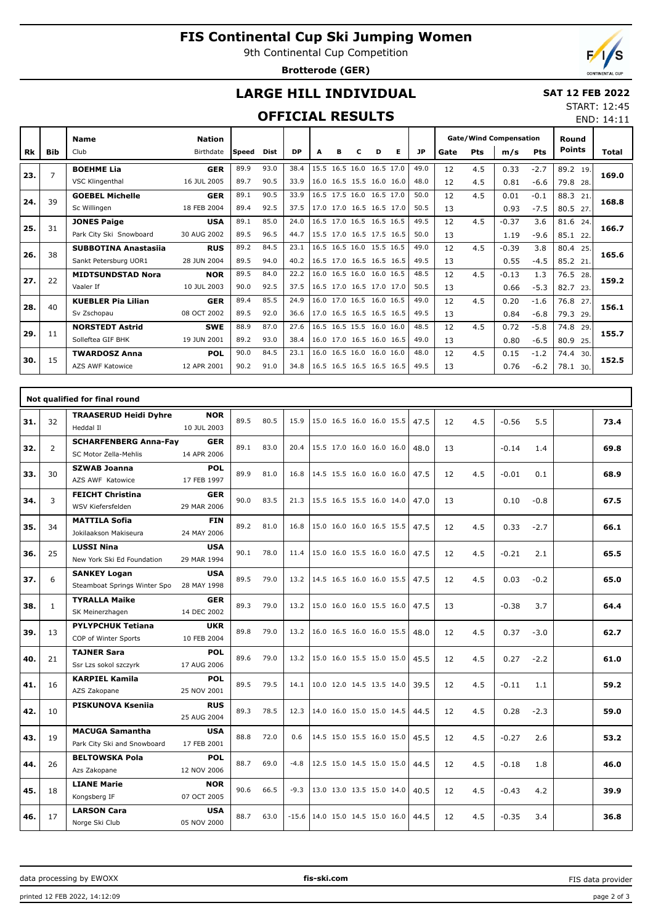# **FIS Continental Cup Ski Jumping Women**

9th Continental Cup Competition

**Brotterode (GER)**



END: 14:11

## **LARGE HILL INDIVIDUAL**

#### **SAT 12 FEB 2022** START: 12:45

### **OFFICIAL RESULTS**

|           |            | <b>Name</b>                 | <b>Nation</b> |              |             |           |                          |   |   |                          |   |           | <b>Gate/Wind Compensation</b> |            |         | Round      |               |       |  |
|-----------|------------|-----------------------------|---------------|--------------|-------------|-----------|--------------------------|---|---|--------------------------|---|-----------|-------------------------------|------------|---------|------------|---------------|-------|--|
| <b>Rk</b> | <b>Bib</b> | Club                        | Birthdate     | <b>Speed</b> | <b>Dist</b> | <b>DP</b> | A                        | в | c | D                        | Е | <b>JP</b> | Gate                          | <b>Pts</b> | m/s     | <b>Pts</b> | <b>Points</b> | Total |  |
| 23.       | 7          | <b>BOEHME Lia</b>           | <b>GER</b>    | 89.9         | 93.0        | 38.4      |                          |   |   | 15.5 16.5 16.0 16.5 17.0 |   | 49.0      | 12                            | 4.5        | 0.33    | $-2.7$     | 89.2 19.      | 169.0 |  |
|           |            | VSC Klingenthal             | 16 JUL 2005   | 89.7         | 90.5        | 33.9      |                          |   |   | 16.0 16.5 15.5 16.0 16.0 |   | 48.0      | 12                            | 4.5        | 0.81    | $-6.6$     | 79.8 28.      |       |  |
| 24.       | 39         | <b>GOEBEL Michelle</b>      | <b>GER</b>    | 89.1         | 90.5        | 33.9      |                          |   |   | 16.5 17.5 16.0 16.5 17.0 |   | 50.0      | 12                            | 4.5        | 0.01    | $-0.1$     | 88.3<br>21.   | 168.8 |  |
|           |            | Sc Willingen                | 18 FEB 2004   | 89.4         | 92.5        | 37.5      |                          |   |   | 17.0 17.0 16.5 16.5 17.0 |   | 50.5      | 13                            |            | 0.93    | $-7.5$     | 80.5 27.      |       |  |
| 25.       | 31         | <b>JONES Paige</b>          | <b>USA</b>    | 89.1         | 85.0        | 24.0      |                          |   |   | 16.5 17.0 16.5 16.5 16.5 |   | 49.5      | 12                            | 4.5        | $-0.37$ | 3.6        | 81.6 24.      | 166.7 |  |
|           |            | Park City Ski Snowboard     | 30 AUG 2002   | 89.5         | 96.5        | 44.7      |                          |   |   | 15.5 17.0 16.5 17.5 16.5 |   | 50.0      | 13                            |            | 1.19    | $-9.6$     | 85.1<br>22.   |       |  |
| 26.       | 38         | <b>SUBBOTINA Anastasija</b> | <b>RUS</b>    | 89.2         | 84.5        | 23.1      |                          |   |   | 16.5 16.5 16.0 15.5 16.5 |   | 49.0      | 12                            | 4.5        | $-0.39$ | 3.8        | 80.4<br>25.   | 165.6 |  |
|           |            | Sankt Petersburg UOR1       | 28 JUN 2004   | 89.5         | 94.0        | 40.2      |                          |   |   | 16.5 17.0 16.5 16.5 16.5 |   | 49.5      | 13                            |            | 0.55    | $-4.5$     | 85.2 21.      |       |  |
| 27.       | 22         | <b>MIDTSUNDSTAD Nora</b>    | <b>NOR</b>    | 89.5         | 84.0        | 22.2      |                          |   |   | 16.0 16.5 16.0 16.0 16.5 |   | 48.5      | 12                            | 4.5        | $-0.13$ | 1.3        | 76.5 28.      | 159.2 |  |
|           |            | Vaaler If                   | 10 JUL 2003   | 90.0         | 92.5        | 37.5      |                          |   |   | 16.5 17.0 16.5 17.0 17.0 |   | 50.5      | 13                            |            | 0.66    | $-5.3$     | 82.7<br>23.   |       |  |
| 28.       | 40         | <b>KUEBLER Pia Lilian</b>   | <b>GER</b>    | 89.4         | 85.5        | 24.9      |                          |   |   | 16.0 17.0 16.5 16.0 16.5 |   | 49.0      | 12                            | 4.5        | 0.20    | $-1.6$     | 76.8 27.      | 156.1 |  |
|           |            | Sv Zschopau                 | 08 OCT 2002   | 89.5         | 92.0        | 36.6      |                          |   |   | 17.0 16.5 16.5 16.5 16.5 |   | 49.5      | 13                            |            | 0.84    | $-6.8$     | 79.3<br>29.   |       |  |
| 29.       | 11         | <b>NORSTEDT Astrid</b>      | <b>SWE</b>    | 88.9         | 87.0        | 27.6      |                          |   |   | 16.5 16.5 15.5 16.0 16.0 |   | 48.5      | 12                            | 4.5        | 0.72    | $-5.8$     | 74.8<br>29.   | 155.7 |  |
|           |            | Solleftea GIF BHK           | 19 JUN 2001   | 89.2         | 93.0        | 38.4      |                          |   |   | 16.0 17.0 16.5 16.0 16.5 |   | 49.0      | 13                            |            | 0.80    | $-6.5$     | 80.9<br>25.   |       |  |
| 30.       | 15         | <b>TWARDOSZ Anna</b>        | <b>POL</b>    | 90.0         | 84.5        | 23.1      |                          |   |   | 16.0 16.5 16.0 16.0 16.0 |   | 48.0      | 12                            | 4.5        | 0.15    | $-1.2$     | 74.4<br>30.   | 152.5 |  |
|           |            | AZS AWF Katowice            | 12 APR 2001   | 90.2         | 91.0        | 34.8      | 16.5 16.5 16.5 16.5 16.5 |   |   |                          |   | 49.5      | 13                            |            | 0.76    | $-6.2$     | 78.1<br>30.   |       |  |

|     |                | Not qualified for final round                         |                           |      |      |         |                          |      |           |                |      |
|-----|----------------|-------------------------------------------------------|---------------------------|------|------|---------|--------------------------|------|-----------|----------------|------|
| 31. | 32             | <b>TRAASERUD Heidi Dyhre</b><br>Heddal II             | <b>NOR</b><br>10 JUL 2003 | 89.5 | 80.5 | 15.9    | 15.0 16.5 16.0 16.0 15.5 | 47.5 | 4.5<br>12 | 5.5<br>$-0.56$ | 73.4 |
| 32. | $\overline{2}$ | <b>SCHARFENBERG Anna-Fay</b><br>SC Motor Zella-Mehlis | <b>GER</b><br>14 APR 2006 | 89.1 | 83.0 | 20.4    | 15.5 17.0 16.0 16.0 16.0 | 48.0 | 13        | 1.4<br>$-0.14$ | 69.8 |
| 33. | 30             | <b>SZWAB Joanna</b><br>AZS AWF Katowice               | <b>POL</b><br>17 FEB 1997 | 89.9 | 81.0 | 16.8    | 14.5 15.5 16.0 16.0 16.0 | 47.5 | 4.5<br>12 | $-0.01$<br>0.1 | 68.9 |
| 34. | 3              | <b>FEICHT Christina</b><br>WSV Kiefersfelden          | <b>GER</b><br>29 MAR 2006 | 90.0 | 83.5 | 21.3    | 15.5 16.5 15.5 16.0 14.0 | 47.0 | 13        | $-0.8$<br>0.10 | 67.5 |
| 35. | 34             | <b>MATTILA Sofia</b><br>Jokilaakson Makiseura         | <b>FIN</b><br>24 MAY 2006 | 89.2 | 81.0 | 16.8    | 15.0 16.0 16.0 16.5 15.5 | 47.5 | 4.5<br>12 | 0.33<br>$-2.7$ | 66.1 |
| 36. | 25             | <b>LUSSI Nina</b><br>New York Ski Ed Foundation       | <b>USA</b><br>29 MAR 1994 | 90.1 | 78.0 | 11.4    | 15.0 16.0 15.5 16.0 16.0 | 47.5 | 4.5<br>12 | $-0.21$<br>2.1 | 65.5 |
| 37. | 6              | <b>SANKEY Logan</b><br>Steamboat Springs Winter Spo   | <b>USA</b><br>28 MAY 1998 | 89.5 | 79.0 | 13.2    | 14.5 16.5 16.0 16.0 15.5 | 47.5 | 12<br>4.5 | 0.03<br>$-0.2$ | 65.0 |
| 38. | $\mathbf{1}$   | <b>TYRALLA Maike</b><br>SK Meinerzhagen               | <b>GER</b><br>14 DEC 2002 | 89.3 | 79.0 | 13.2    | 15.0 16.0 16.0 15.5 16.0 | 47.5 | 13        | 3.7<br>$-0.38$ | 64.4 |
| 39. | 13             | <b>PYLYPCHUK Tetiana</b><br>COP of Winter Sports      | <b>UKR</b><br>10 FEB 2004 | 89.8 | 79.0 | 13.2    | 16.0 16.5 16.0 16.0 15.5 | 48.0 | 4.5<br>12 | 0.37<br>$-3.0$ | 62.7 |
| 40. | 21             | <b>TAJNER Sara</b><br>Ssr Lzs sokol szczyrk           | <b>POL</b><br>17 AUG 2006 | 89.6 | 79.0 | 13.2    | 15.0 16.0 15.5 15.0 15.0 | 45.5 | 4.5<br>12 | 0.27<br>$-2.2$ | 61.0 |
| 41. | 16             | <b>KARPIEL Kamila</b><br>AZS Zakopane                 | <b>POL</b><br>25 NOV 2001 | 89.5 | 79.5 | 14.1    | 10.0 12.0 14.5 13.5 14.0 | 39.5 | 12<br>4.5 | $-0.11$<br>1.1 | 59.2 |
| 42. | 10             | <b>PISKUNOVA Ksenija</b>                              | <b>RUS</b><br>25 AUG 2004 | 89.3 | 78.5 | 12.3    | 14.0 16.0 15.0 15.0 14.5 | 44.5 | 4.5<br>12 | 0.28<br>$-2.3$ | 59.0 |
| 43. | 19             | <b>MACUGA Samantha</b><br>Park City Ski and Snowboard | <b>USA</b><br>17 FEB 2001 | 88.8 | 72.0 | 0.6     | 14.5 15.0 15.5 16.0 15.0 | 45.5 | 12<br>4.5 | $-0.27$<br>2.6 | 53.2 |
| 44. | 26             | <b>BELTOWSKA Pola</b><br>Azs Zakopane                 | <b>POL</b><br>12 NOV 2006 | 88.7 | 69.0 | $-4.8$  | 12.5 15.0 14.5 15.0 15.0 | 44.5 | 4.5<br>12 | $-0.18$<br>1.8 | 46.0 |
| 45. | 18             | <b>LIANE Marie</b><br>Kongsberg IF                    | <b>NOR</b><br>07 OCT 2005 | 90.6 | 66.5 | $-9.3$  | 13.0 13.0 13.5 15.0 14.0 | 40.5 | 12<br>4.5 | $-0.43$<br>4.2 | 39.9 |
| 46. | 17             | <b>LARSON Cara</b><br>Norge Ski Club                  | <b>USA</b><br>05 NOV 2000 | 88.7 | 63.0 | $-15.6$ | 14.0 15.0 14.5 15.0 16.0 | 44.5 | 4.5<br>12 | $-0.35$<br>3.4 | 36.8 |